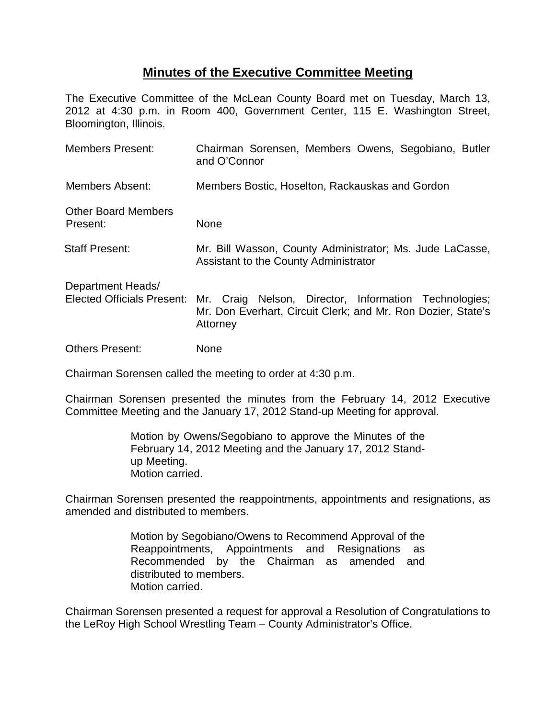## **Minutes of the Executive Committee Meeting**

The Executive Committee of the McLean County Board met on Tuesday, March 13, 2012 at 4:30 p.m. in Room 400, Government Center, 115 E. Washington Street, Bloomington, Illinois.

| <b>Members Present:</b>                                | Chairman Sorensen, Members Owens, Segobiano, Butler<br>and O'Connor                                                               |
|--------------------------------------------------------|-----------------------------------------------------------------------------------------------------------------------------------|
| <b>Members Absent:</b>                                 | Members Bostic, Hoselton, Rackauskas and Gordon                                                                                   |
| <b>Other Board Members</b><br>Present:                 | None                                                                                                                              |
| <b>Staff Present:</b>                                  | Mr. Bill Wasson, County Administrator; Ms. Jude LaCasse,<br>Assistant to the County Administrator                                 |
| Department Heads/<br><b>Elected Officials Present:</b> | Mr. Craig Nelson, Director, Information Technologies;<br>Mr. Don Everhart, Circuit Clerk; and Mr. Ron Dozier, State's<br>Attorney |
| <b>Others Present:</b>                                 | None                                                                                                                              |

Chairman Sorensen called the meeting to order at 4:30 p.m.

Chairman Sorensen presented the minutes from the February 14, 2012 Executive Committee Meeting and the January 17, 2012 Stand-up Meeting for approval.

> Motion by Owens/Segobiano to approve the Minutes of the February 14, 2012 Meeting and the January 17, 2012 Standup Meeting. Motion carried.

Chairman Sorensen presented the reappointments, appointments and resignations, as amended and distributed to members.

> Motion by Segobiano/Owens to Recommend Approval of the Reappointments, Appointments and Resignations as Recommended by the Chairman as amended and distributed to members. Motion carried.

Chairman Sorensen presented a request for approval a Resolution of Congratulations to the LeRoy High School Wrestling Team – County Administrator's Office.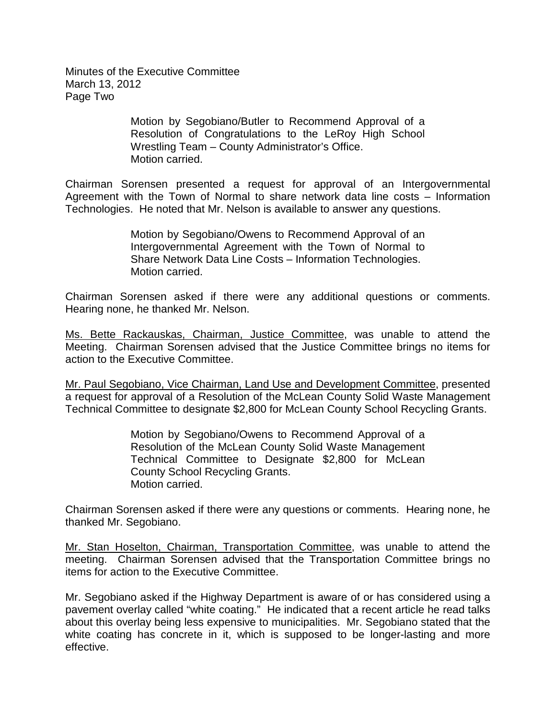Minutes of the Executive Committee March 13, 2012 Page Two

> Motion by Segobiano/Butler to Recommend Approval of a Resolution of Congratulations to the LeRoy High School Wrestling Team – County Administrator's Office. Motion carried.

Chairman Sorensen presented a request for approval of an Intergovernmental Agreement with the Town of Normal to share network data line costs – Information Technologies. He noted that Mr. Nelson is available to answer any questions.

> Motion by Segobiano/Owens to Recommend Approval of an Intergovernmental Agreement with the Town of Normal to Share Network Data Line Costs – Information Technologies. Motion carried.

Chairman Sorensen asked if there were any additional questions or comments. Hearing none, he thanked Mr. Nelson.

Ms. Bette Rackauskas, Chairman, Justice Committee, was unable to attend the Meeting. Chairman Sorensen advised that the Justice Committee brings no items for action to the Executive Committee.

Mr. Paul Segobiano, Vice Chairman, Land Use and Development Committee, presented a request for approval of a Resolution of the McLean County Solid Waste Management Technical Committee to designate \$2,800 for McLean County School Recycling Grants.

> Motion by Segobiano/Owens to Recommend Approval of a Resolution of the McLean County Solid Waste Management Technical Committee to Designate \$2,800 for McLean County School Recycling Grants. Motion carried.

Chairman Sorensen asked if there were any questions or comments. Hearing none, he thanked Mr. Segobiano.

Mr. Stan Hoselton, Chairman, Transportation Committee, was unable to attend the meeting. Chairman Sorensen advised that the Transportation Committee brings no items for action to the Executive Committee.

Mr. Segobiano asked if the Highway Department is aware of or has considered using a pavement overlay called "white coating." He indicated that a recent article he read talks about this overlay being less expensive to municipalities. Mr. Segobiano stated that the white coating has concrete in it, which is supposed to be longer-lasting and more effective.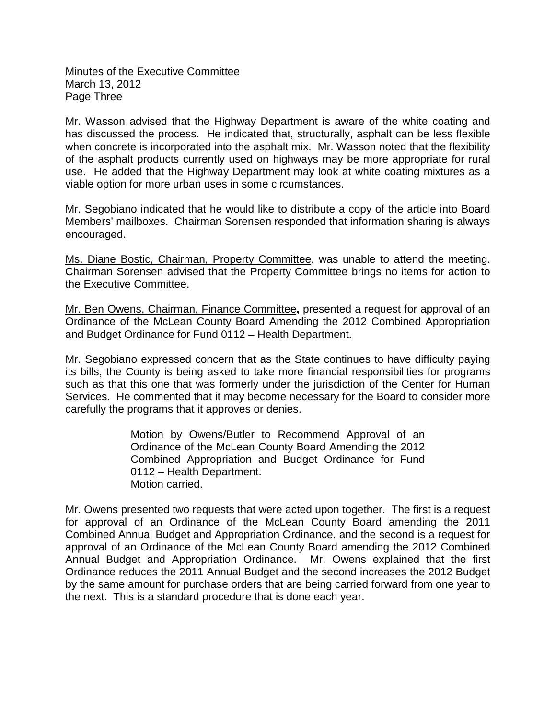Minutes of the Executive Committee March 13, 2012 Page Three

Mr. Wasson advised that the Highway Department is aware of the white coating and has discussed the process. He indicated that, structurally, asphalt can be less flexible when concrete is incorporated into the asphalt mix. Mr. Wasson noted that the flexibility of the asphalt products currently used on highways may be more appropriate for rural use. He added that the Highway Department may look at white coating mixtures as a viable option for more urban uses in some circumstances.

Mr. Segobiano indicated that he would like to distribute a copy of the article into Board Members' mailboxes. Chairman Sorensen responded that information sharing is always encouraged.

Ms. Diane Bostic, Chairman, Property Committee, was unable to attend the meeting. Chairman Sorensen advised that the Property Committee brings no items for action to the Executive Committee.

Mr. Ben Owens, Chairman, Finance Committee**,** presented a request for approval of an Ordinance of the McLean County Board Amending the 2012 Combined Appropriation and Budget Ordinance for Fund 0112 – Health Department.

Mr. Segobiano expressed concern that as the State continues to have difficulty paying its bills, the County is being asked to take more financial responsibilities for programs such as that this one that was formerly under the jurisdiction of the Center for Human Services. He commented that it may become necessary for the Board to consider more carefully the programs that it approves or denies.

> Motion by Owens/Butler to Recommend Approval of an Ordinance of the McLean County Board Amending the 2012 Combined Appropriation and Budget Ordinance for Fund 0112 – Health Department. Motion carried.

Mr. Owens presented two requests that were acted upon together. The first is a request for approval of an Ordinance of the McLean County Board amending the 2011 Combined Annual Budget and Appropriation Ordinance, and the second is a request for approval of an Ordinance of the McLean County Board amending the 2012 Combined Annual Budget and Appropriation Ordinance. Mr. Owens explained that the first Ordinance reduces the 2011 Annual Budget and the second increases the 2012 Budget by the same amount for purchase orders that are being carried forward from one year to the next. This is a standard procedure that is done each year.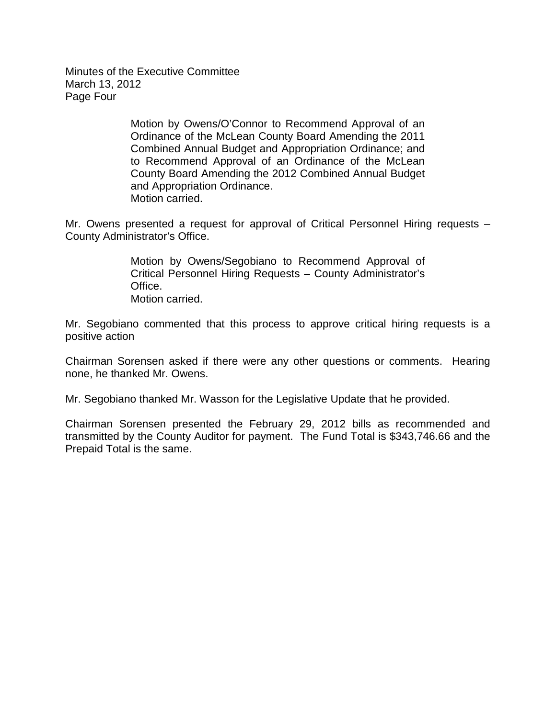Minutes of the Executive Committee March 13, 2012 Page Four

> Motion by Owens/O'Connor to Recommend Approval of an Ordinance of the McLean County Board Amending the 2011 Combined Annual Budget and Appropriation Ordinance; and to Recommend Approval of an Ordinance of the McLean County Board Amending the 2012 Combined Annual Budget and Appropriation Ordinance. Motion carried.

Mr. Owens presented a request for approval of Critical Personnel Hiring requests – County Administrator's Office.

> Motion by Owens/Segobiano to Recommend Approval of Critical Personnel Hiring Requests – County Administrator's Office. Motion carried.

Mr. Segobiano commented that this process to approve critical hiring requests is a positive action

Chairman Sorensen asked if there were any other questions or comments. Hearing none, he thanked Mr. Owens.

Mr. Segobiano thanked Mr. Wasson for the Legislative Update that he provided.

Chairman Sorensen presented the February 29, 2012 bills as recommended and transmitted by the County Auditor for payment. The Fund Total is \$343,746.66 and the Prepaid Total is the same.